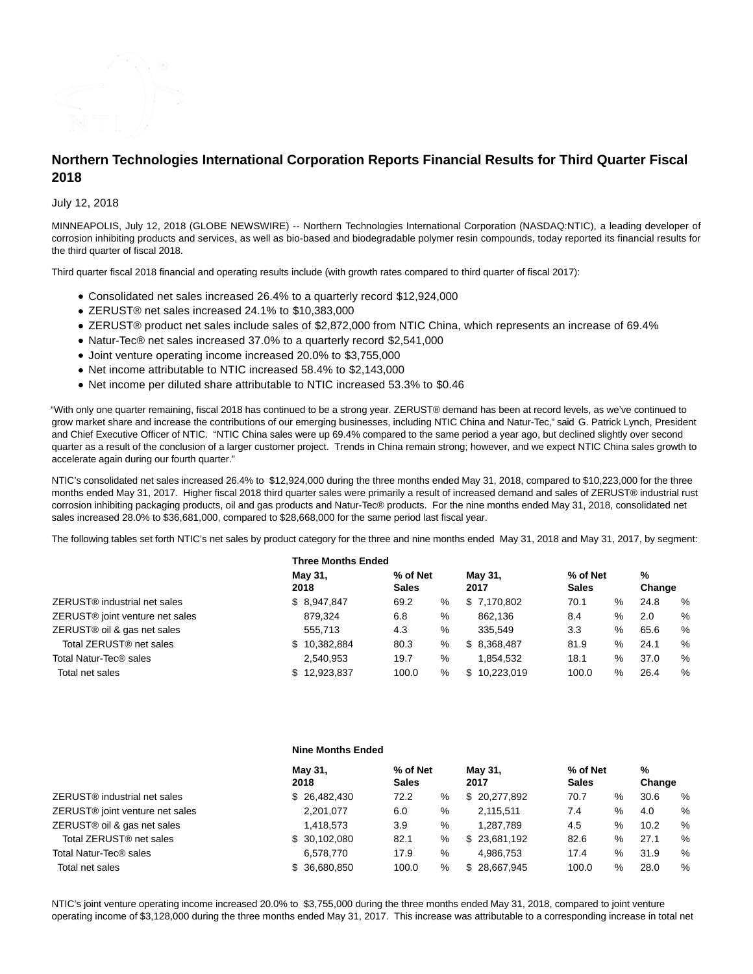

# **Northern Technologies International Corporation Reports Financial Results for Third Quarter Fiscal 2018**

## July 12, 2018

MINNEAPOLIS, July 12, 2018 (GLOBE NEWSWIRE) -- Northern Technologies International Corporation (NASDAQ:NTIC), a leading developer of corrosion inhibiting products and services, as well as bio-based and biodegradable polymer resin compounds, today reported its financial results for the third quarter of fiscal 2018.

Third quarter fiscal 2018 financial and operating results include (with growth rates compared to third quarter of fiscal 2017):

- Consolidated net sales increased 26.4% to a quarterly record \$12,924,000
- ZERUST® net sales increased 24.1% to \$10,383,000
- ZERUST® product net sales include sales of \$2,872,000 from NTIC China, which represents an increase of 69.4%
- Natur-Tec® net sales increased 37.0% to a quarterly record \$2,541,000
- Joint venture operating income increased 20.0% to \$3,755,000
- Net income attributable to NTIC increased 58.4% to \$2,143,000
- Net income per diluted share attributable to NTIC increased 53.3% to \$0.46

"With only one quarter remaining, fiscal 2018 has continued to be a strong year. ZERUST® demand has been at record levels, as we've continued to grow market share and increase the contributions of our emerging businesses, including NTIC China and Natur-Tec," said G. Patrick Lynch, President and Chief Executive Officer of NTIC. "NTIC China sales were up 69.4% compared to the same period a year ago, but declined slightly over second quarter as a result of the conclusion of a larger customer project. Trends in China remain strong; however, and we expect NTIC China sales growth to accelerate again during our fourth quarter."

NTIC's consolidated net sales increased 26.4% to \$12,924,000 during the three months ended May 31, 2018, compared to \$10,223,000 for the three months ended May 31, 2017. Higher fiscal 2018 third quarter sales were primarily a result of increased demand and sales of ZERUST® industrial rust corrosion inhibiting packaging products, oil and gas products and Natur-Tec® products. For the nine months ended May 31, 2018, consolidated net sales increased 28.0% to \$36,681,000, compared to \$28,668,000 for the same period last fiscal year.

The following tables set forth NTIC's net sales by product category for the three and nine months ended May 31, 2018 and May 31, 2017, by segment:

|                                             | <b>Three Months Ended</b> |                          |      |                 |                          |      |             |   |
|---------------------------------------------|---------------------------|--------------------------|------|-----------------|--------------------------|------|-------------|---|
|                                             | May 31,<br>2018           | % of Net<br><b>Sales</b> |      | May 31,<br>2017 | % of Net<br><b>Sales</b> |      | %<br>Change |   |
| ZERUST <sup>®</sup> industrial net sales    | \$8,947,847               | 69.2                     | %    | \$7,170,802     | 70.1                     | %    | 24.8        | % |
| ZERUST <sup>®</sup> joint venture net sales | 879.324                   | 6.8                      | %    | 862.136         | 8.4                      | %    | 2.0         | % |
| ZERUST <sup>®</sup> oil & gas net sales     | 555.713                   | 4.3                      | %    | 335.549         | 3.3                      | %    | 65.6        | % |
| Total ZERUST <sup>®</sup> net sales         | \$10,382,884              | 80.3                     | %    | \$ 8.368.487    | 81.9                     | $\%$ | 24.1        | % |
| Total Natur-Tec® sales                      | 2.540.953                 | 19.7                     | $\%$ | 1.854.532       | 18.1                     | %    | 37.0        | % |
| Total net sales                             | 12.923.837<br>\$          | 100.0                    | %    | \$10.223.019    | 100.0                    | %    | 26.4        | % |

|                                     | <b>Nine Months Ended</b> |                          |      |                 |                          |   |             |      |
|-------------------------------------|--------------------------|--------------------------|------|-----------------|--------------------------|---|-------------|------|
|                                     | May 31,<br>2018          | % of Net<br><b>Sales</b> |      | May 31,<br>2017 | % of Net<br><b>Sales</b> |   | %<br>Change |      |
| ZERUST® industrial net sales        | \$26,482,430             | 72.2                     | %    | \$20,277,892    | 70.7                     | % | 30.6        | %    |
| ZERUST® joint venture net sales     | 2,201,077                | 6.0                      | $\%$ | 2,115,511       | 7.4                      | % | 4.0         | %    |
| ZERUST® oil & gas net sales         | 1,418,573                | 3.9                      | %    | 1,287,789       | 4.5                      | % | 10.2        | %    |
| Total ZERUST <sup>®</sup> net sales | \$30,102,080             | 82.1                     | %    | \$23,681,192    | 82.6                     | % | 27.1        | $\%$ |
| Total Natur-Tec® sales              | 6.578.770                | 17.9                     | %    | 4.986.753       | 17.4                     | % | 31.9        | %    |
| Total net sales                     | \$ 36,680,850            | 100.0                    | %    | \$28,667,945    | 100.0                    | % | 28.0        | %    |

NTIC's joint venture operating income increased 20.0% to \$3,755,000 during the three months ended May 31, 2018, compared to joint venture operating income of \$3,128,000 during the three months ended May 31, 2017. This increase was attributable to a corresponding increase in total net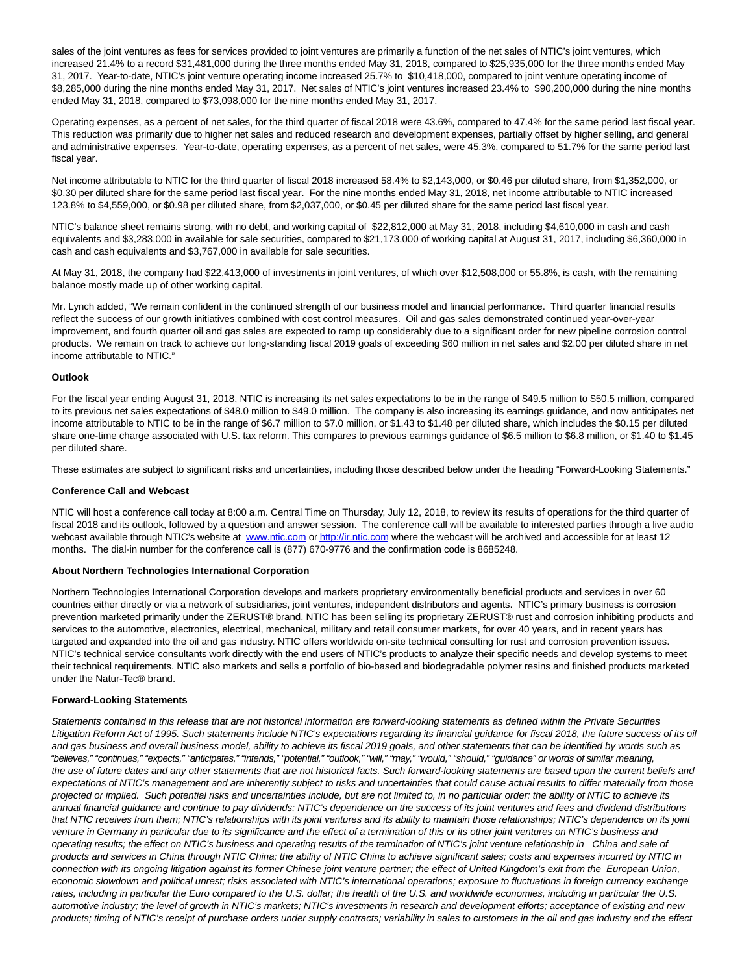sales of the joint ventures as fees for services provided to joint ventures are primarily a function of the net sales of NTIC's joint ventures, which increased 21.4% to a record \$31,481,000 during the three months ended May 31, 2018, compared to \$25,935,000 for the three months ended May 31, 2017. Year-to-date, NTIC's joint venture operating income increased 25.7% to \$10,418,000, compared to joint venture operating income of \$8,285,000 during the nine months ended May 31, 2017. Net sales of NTIC's joint ventures increased 23.4% to \$90,200,000 during the nine months ended May 31, 2018, compared to \$73,098,000 for the nine months ended May 31, 2017.

Operating expenses, as a percent of net sales, for the third quarter of fiscal 2018 were 43.6%, compared to 47.4% for the same period last fiscal year. This reduction was primarily due to higher net sales and reduced research and development expenses, partially offset by higher selling, and general and administrative expenses. Year-to-date, operating expenses, as a percent of net sales, were 45.3%, compared to 51.7% for the same period last fiscal year.

Net income attributable to NTIC for the third quarter of fiscal 2018 increased 58.4% to \$2,143,000, or \$0.46 per diluted share, from \$1,352,000, or \$0.30 per diluted share for the same period last fiscal year. For the nine months ended May 31, 2018, net income attributable to NTIC increased 123.8% to \$4,559,000, or \$0.98 per diluted share, from \$2,037,000, or \$0.45 per diluted share for the same period last fiscal year.

NTIC's balance sheet remains strong, with no debt, and working capital of \$22,812,000 at May 31, 2018, including \$4,610,000 in cash and cash equivalents and \$3,283,000 in available for sale securities, compared to \$21,173,000 of working capital at August 31, 2017, including \$6,360,000 in cash and cash equivalents and \$3,767,000 in available for sale securities.

At May 31, 2018, the company had \$22,413,000 of investments in joint ventures, of which over \$12,508,000 or 55.8%, is cash, with the remaining balance mostly made up of other working capital.

Mr. Lynch added, "We remain confident in the continued strength of our business model and financial performance. Third quarter financial results reflect the success of our growth initiatives combined with cost control measures. Oil and gas sales demonstrated continued year-over-year improvement, and fourth quarter oil and gas sales are expected to ramp up considerably due to a significant order for new pipeline corrosion control products. We remain on track to achieve our long-standing fiscal 2019 goals of exceeding \$60 million in net sales and \$2.00 per diluted share in net income attributable to NTIC."

## **Outlook**

For the fiscal year ending August 31, 2018, NTIC is increasing its net sales expectations to be in the range of \$49.5 million to \$50.5 million, compared to its previous net sales expectations of \$48.0 million to \$49.0 million. The company is also increasing its earnings guidance, and now anticipates net income attributable to NTIC to be in the range of \$6.7 million to \$7.0 million, or \$1.43 to \$1.48 per diluted share, which includes the \$0.15 per diluted share one-time charge associated with U.S. tax reform. This compares to previous earnings guidance of \$6.5 million to \$6.8 million, or \$1.40 to \$1.45 per diluted share.

These estimates are subject to significant risks and uncertainties, including those described below under the heading "Forward-Looking Statements."

#### **Conference Call and Webcast**

NTIC will host a conference call today at 8:00 a.m. Central Time on Thursday, July 12, 2018, to review its results of operations for the third quarter of fiscal 2018 and its outlook, followed by a question and answer session. The conference call will be available to interested parties through a live audio webcast available through NTIC's website at [www.ntic.com o](http://www.ntic.com/)[r http://ir.ntic.com w](http://ir.ntic.com/)here the webcast will be archived and accessible for at least 12 months. The dial-in number for the conference call is (877) 670-9776 and the confirmation code is 8685248.

#### **About Northern Technologies International Corporation**

Northern Technologies International Corporation develops and markets proprietary environmentally beneficial products and services in over 60 countries either directly or via a network of subsidiaries, joint ventures, independent distributors and agents. NTIC's primary business is corrosion prevention marketed primarily under the ZERUST® brand. NTIC has been selling its proprietary ZERUST® rust and corrosion inhibiting products and services to the automotive, electronics, electrical, mechanical, military and retail consumer markets, for over 40 years, and in recent years has targeted and expanded into the oil and gas industry. NTIC offers worldwide on-site technical consulting for rust and corrosion prevention issues. NTIC's technical service consultants work directly with the end users of NTIC's products to analyze their specific needs and develop systems to meet their technical requirements. NTIC also markets and sells a portfolio of bio-based and biodegradable polymer resins and finished products marketed under the Natur-Tec® brand.

## **Forward-Looking Statements**

Statements contained in this release that are not historical information are forward-looking statements as defined within the Private Securities Litigation Reform Act of 1995. Such statements include NTIC's expectations regarding its financial guidance for fiscal 2018, the future success of its oil and gas business and overall business model, ability to achieve its fiscal 2019 goals, and other statements that can be identified by words such as "believes," "continues," "expects," "anticipates," "intends," "potential," "outlook," "will," "may," "would," "should," "guidance" or words of similar meaning, the use of future dates and any other statements that are not historical facts. Such forward-looking statements are based upon the current beliefs and expectations of NTIC's management and are inherently subject to risks and uncertainties that could cause actual results to differ materially from those projected or implied. Such potential risks and uncertainties include, but are not limited to, in no particular order: the ability of NTIC to achieve its annual financial guidance and continue to pay dividends; NTIC's dependence on the success of its joint ventures and fees and dividend distributions that NTIC receives from them; NTIC's relationships with its joint ventures and its ability to maintain those relationships; NTIC's dependence on its joint venture in Germany in particular due to its significance and the effect of a termination of this or its other joint ventures on NTIC's business and operating results; the effect on NTIC's business and operating results of the termination of NTIC's joint venture relationship in China and sale of products and services in China through NTIC China; the ability of NTIC China to achieve significant sales; costs and expenses incurred by NTIC in connection with its ongoing litigation against its former Chinese joint venture partner; the effect of United Kingdom's exit from the European Union, economic slowdown and political unrest; risks associated with NTIC's international operations; exposure to fluctuations in foreign currency exchange rates, including in particular the Euro compared to the U.S. dollar; the health of the U.S. and worldwide economies, including in particular the U.S. automotive industry; the level of growth in NTIC's markets; NTIC's investments in research and development efforts; acceptance of existing and new products; timing of NTIC's receipt of purchase orders under supply contracts; variability in sales to customers in the oil and gas industry and the effect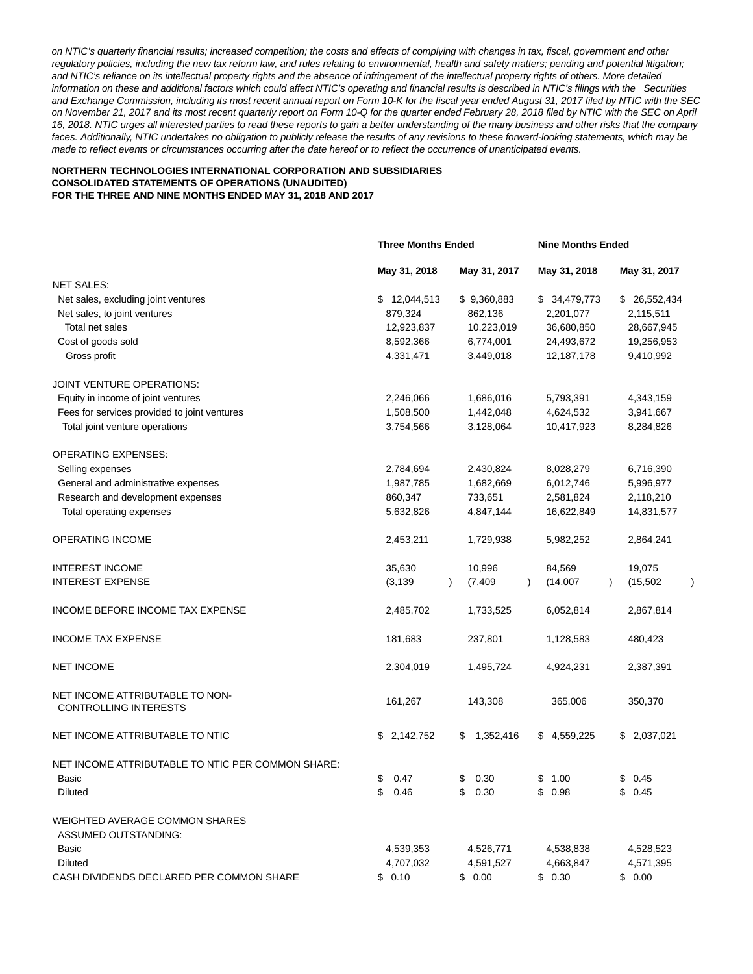on NTIC's quarterly financial results; increased competition; the costs and effects of complying with changes in tax, fiscal, government and other regulatory policies, including the new tax reform law, and rules relating to environmental, health and safety matters; pending and potential litigation; and NTIC's reliance on its intellectual property rights and the absence of infringement of the intellectual property rights of others. More detailed information on these and additional factors which could affect NTIC's operating and financial results is described in NTIC's filings with the Securities and Exchange Commission, including its most recent annual report on Form 10-K for the fiscal year ended August 31, 2017 filed by NTIC with the SEC on November 21, 2017 and its most recent quarterly report on Form 10-Q for the quarter ended February 28, 2018 filed by NTIC with the SEC on April 16, 2018. NTIC urges all interested parties to read these reports to gain a better understanding of the many business and other risks that the company faces. Additionally, NTIC undertakes no obligation to publicly release the results of any revisions to these forward-looking statements, which may be made to reflect events or circumstances occurring after the date hereof or to reflect the occurrence of unanticipated events.

## **NORTHERN TECHNOLOGIES INTERNATIONAL CORPORATION AND SUBSIDIARIES CONSOLIDATED STATEMENTS OF OPERATIONS (UNAUDITED) FOR THE THREE AND NINE MONTHS ENDED MAY 31, 2018 AND 2017**

|                                                                 | <b>Three Months Ended</b> |                       | <b>Nine Months Ended</b> |                        |  |
|-----------------------------------------------------------------|---------------------------|-----------------------|--------------------------|------------------------|--|
|                                                                 | May 31, 2018              | May 31, 2017          | May 31, 2018             | May 31, 2017           |  |
| <b>NET SALES:</b>                                               |                           |                       |                          |                        |  |
| Net sales, excluding joint ventures                             | \$12,044,513              | \$9,360,883           | \$ 34,479,773            | \$ 26,552,434          |  |
| Net sales, to joint ventures                                    | 879,324                   | 862,136               | 2,201,077                | 2,115,511              |  |
| Total net sales                                                 | 12,923,837                | 10,223,019            | 36,680,850               | 28,667,945             |  |
| Cost of goods sold                                              | 8,592,366                 | 6,774,001             | 24,493,672               | 19,256,953             |  |
| Gross profit                                                    | 4,331,471                 | 3,449,018             | 12,187,178               | 9,410,992              |  |
| JOINT VENTURE OPERATIONS:                                       |                           |                       |                          |                        |  |
| Equity in income of joint ventures                              | 2,246,066                 | 1,686,016             | 5,793,391                | 4,343,159              |  |
| Fees for services provided to joint ventures                    | 1,508,500                 | 1,442,048             | 4,624,532                | 3,941,667              |  |
| Total joint venture operations                                  | 3,754,566                 | 3,128,064             | 10,417,923               | 8,284,826              |  |
| <b>OPERATING EXPENSES:</b>                                      |                           |                       |                          |                        |  |
| Selling expenses                                                | 2,784,694                 | 2,430,824             | 8,028,279                | 6,716,390              |  |
| General and administrative expenses                             | 1,987,785                 | 1,682,669             | 6,012,746                | 5,996,977              |  |
| Research and development expenses                               | 860,347                   | 733,651               | 2,581,824                | 2,118,210              |  |
| Total operating expenses                                        | 5,632,826                 | 4,847,144             | 16,622,849               | 14,831,577             |  |
| <b>OPERATING INCOME</b>                                         | 2,453,211                 | 1,729,938             | 5,982,252                | 2,864,241              |  |
| <b>INTEREST INCOME</b>                                          | 35,630                    | 10,996                | 84,569                   | 19,075                 |  |
| <b>INTEREST EXPENSE</b>                                         | (3, 139)                  | (7, 409)<br>$\lambda$ | (14,007)                 | (15, 502)<br>$\lambda$ |  |
| INCOME BEFORE INCOME TAX EXPENSE                                | 2,485,702                 | 1,733,525             | 6,052,814                | 2,867,814              |  |
| <b>INCOME TAX EXPENSE</b>                                       | 181,683                   | 237,801               | 1,128,583                | 480,423                |  |
| <b>NET INCOME</b>                                               | 2,304,019                 | 1,495,724             | 4,924,231                | 2,387,391              |  |
| NET INCOME ATTRIBUTABLE TO NON-<br><b>CONTROLLING INTERESTS</b> | 161,267                   | 143,308               | 365,006                  | 350,370                |  |
| NET INCOME ATTRIBUTABLE TO NTIC                                 | \$<br>2,142,752           | 1,352,416<br>S        | \$4,559,225              | \$ 2,037,021           |  |
| NET INCOME ATTRIBUTABLE TO NTIC PER COMMON SHARE:               |                           |                       |                          |                        |  |
| Basic                                                           | \$<br>0.47                | \$<br>0.30            | \$1.00                   | \$0.45                 |  |
| Diluted                                                         | \$<br>0.46                | \$<br>0.30            | \$<br>0.98               | \$0.45                 |  |
| <b>WEIGHTED AVERAGE COMMON SHARES</b>                           |                           |                       |                          |                        |  |
| ASSUMED OUTSTANDING:                                            |                           |                       |                          |                        |  |
| Basic                                                           | 4,539,353                 | 4,526,771             | 4,538,838                | 4,528,523              |  |
| <b>Diluted</b>                                                  | 4,707,032                 | 4,591,527             | 4,663,847                | 4,571,395              |  |
| CASH DIVIDENDS DECLARED PER COMMON SHARE                        | \$0.10                    | \$0.00                | \$0.30                   | \$0.00                 |  |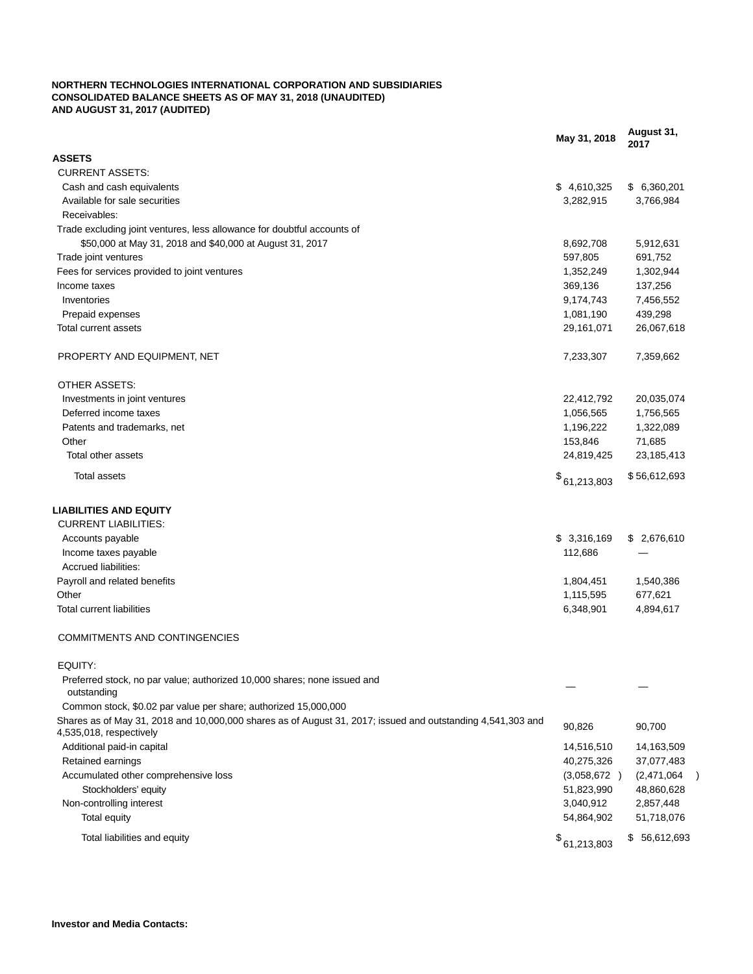### **NORTHERN TECHNOLOGIES INTERNATIONAL CORPORATION AND SUBSIDIARIES CONSOLIDATED BALANCE SHEETS AS OF MAY 31, 2018 (UNAUDITED) AND AUGUST 31, 2017 (AUDITED)**

|                                                                                                                                        | May 31, 2018 | August 31,<br>2017 |
|----------------------------------------------------------------------------------------------------------------------------------------|--------------|--------------------|
| <b>ASSETS</b>                                                                                                                          |              |                    |
| <b>CURRENT ASSETS:</b>                                                                                                                 |              |                    |
| Cash and cash equivalents                                                                                                              | \$4,610,325  | \$6,360,201        |
| Available for sale securities                                                                                                          | 3,282,915    | 3,766,984          |
| Receivables:                                                                                                                           |              |                    |
| Trade excluding joint ventures, less allowance for doubtful accounts of                                                                |              |                    |
| \$50,000 at May 31, 2018 and \$40,000 at August 31, 2017                                                                               | 8,692,708    | 5,912,631          |
| Trade joint ventures                                                                                                                   | 597,805      | 691,752            |
| Fees for services provided to joint ventures                                                                                           | 1,352,249    | 1,302,944          |
| Income taxes                                                                                                                           | 369,136      | 137,256            |
| Inventories                                                                                                                            | 9,174,743    | 7,456,552          |
| Prepaid expenses                                                                                                                       | 1,081,190    | 439,298            |
| Total current assets                                                                                                                   | 29,161,071   | 26,067,618         |
|                                                                                                                                        |              |                    |
| PROPERTY AND EQUIPMENT, NET                                                                                                            | 7,233,307    | 7,359,662          |
| OTHER ASSETS:                                                                                                                          |              |                    |
| Investments in joint ventures                                                                                                          | 22,412,792   | 20,035,074         |
| Deferred income taxes                                                                                                                  | 1,056,565    | 1,756,565          |
| Patents and trademarks, net                                                                                                            | 1,196,222    | 1,322,089          |
| Other                                                                                                                                  | 153,846      | 71,685             |
| Total other assets                                                                                                                     | 24,819,425   | 23, 185, 413       |
| <b>Total assets</b>                                                                                                                    | \$61,213,803 | \$56,612,693       |
| <b>LIABILITIES AND EQUITY</b>                                                                                                          |              |                    |
| <b>CURRENT LIABILITIES:</b>                                                                                                            |              |                    |
|                                                                                                                                        | \$3,316,169  |                    |
| Accounts payable                                                                                                                       |              | \$ 2,676,610       |
| Income taxes payable                                                                                                                   | 112,686      |                    |
| Accrued liabilities:                                                                                                                   |              |                    |
| Payroll and related benefits                                                                                                           | 1,804,451    | 1,540,386          |
| Other                                                                                                                                  | 1,115,595    | 677,621            |
| <b>Total current liabilities</b>                                                                                                       | 6,348,901    | 4,894,617          |
| <b>COMMITMENTS AND CONTINGENCIES</b>                                                                                                   |              |                    |
| EQUITY:                                                                                                                                |              |                    |
| Preferred stock, no par value; authorized 10,000 shares; none issued and<br>outstanding                                                |              |                    |
| Common stock, \$0.02 par value per share; authorized 15,000,000                                                                        |              |                    |
| Shares as of May 31, 2018 and 10,000,000 shares as of August 31, 2017; issued and outstanding 4,541,303 and<br>4,535,018, respectively | 90,826       | 90,700             |
| Additional paid-in capital                                                                                                             | 14,516,510   | 14,163,509         |
| Retained earnings                                                                                                                      | 40,275,326   | 37,077,483         |
| Accumulated other comprehensive loss                                                                                                   | (3,058,672)  | (2,471,064)        |
| Stockholders' equity                                                                                                                   | 51,823,990   | 48,860,628         |
| Non-controlling interest                                                                                                               | 3,040,912    | 2,857,448          |
|                                                                                                                                        |              |                    |
| Total equity                                                                                                                           | 54,864,902   | 51,718,076         |
| Total liabilities and equity                                                                                                           | \$61,213,803 | \$56,612,693       |